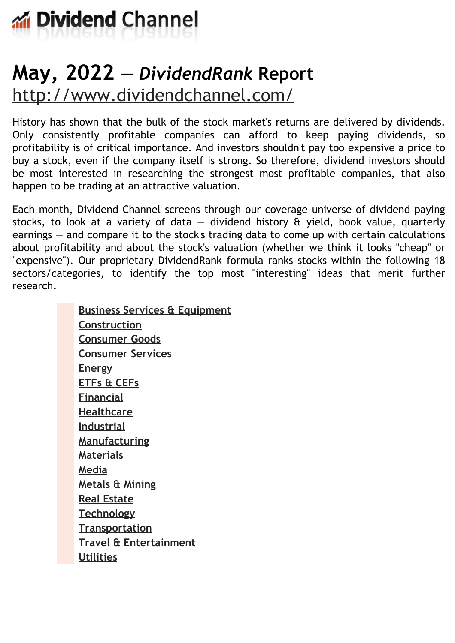

# **May, 2022 —** *DividendRank* **Report** <http://www.dividendchannel.com/>

History has shown that the bulk of the stock market's returns are delivered by dividends. Only consistently profitable companies can afford to keep paying dividends, so profitability is of critical importance. And investors shouldn't pay too expensive a price to buy a stock, even if the company itself is strong. So therefore, dividend investors should be most interested in researching the strongest most profitable companies, that also happen to be trading at an attractive valuation.

Each month, Dividend Channel screens through our coverage universe of dividend paying stocks, to look at a variety of data  $-$  dividend history  $\hat{a}$  yield, book value, quarterly earnings — and compare it to the stock's trading data to come up with certain calculations about profitability and about the stock's valuation (whether we think it looks ''cheap'' or "expensive"). Our proprietary DividendRank formula ranks stocks within the following 18 sectors/categories, to identify the top most ''interesting'' ideas that merit further research.

> **Business Services & [Equipment](file:///root/temp.html#l01) [Construction](file:///root/temp.html#l02) [Consumer](file:///root/temp.html#l03) Goods [Consumer](file:///root/temp.html#l04) Services [Energy](file:///root/temp.html#l05) [ETFs](file:///root/temp.html#l06) & CEFs [Financial](file:///root/temp.html#l07) [Healthcare](file:///root/temp.html#l08) [Industrial](file:///root/temp.html#l09) [Manufacturing](file:///root/temp.html#l10) [Materials](file:///root/temp.html#l11) [Media](file:///root/temp.html#l12) [Metals](file:///root/temp.html#l13) & Mining Real [Estate](file:///root/temp.html#l14) [Technology](file:///root/temp.html#l15) [Transportation](file:///root/temp.html#l16) Travel & [Entertainment](file:///root/temp.html#l17) [Utilities](file:///root/temp.html#l18)**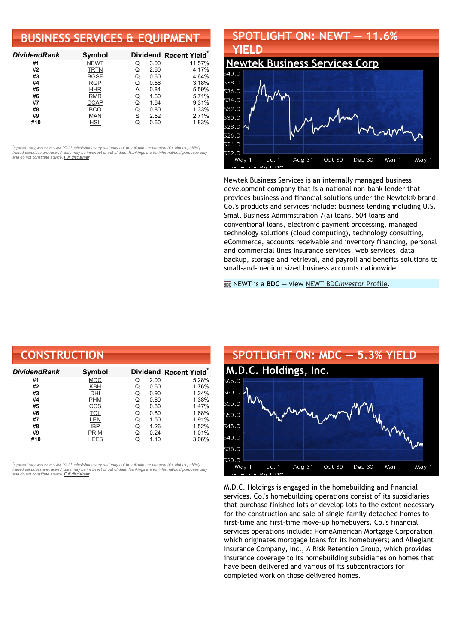### **BUSINESS SERVICES & EQUIPMENT**

| <b>DividendRank</b> | Symbol      |   |      | Dividend Recent Yield* |
|---------------------|-------------|---|------|------------------------|
| #1                  | <b>NEWT</b> | Q | 3.00 | 11.57%                 |
| #2                  | <b>TRTN</b> | Q | 2.60 | 4.17%                  |
| #3                  | <b>BGSF</b> | Q | 0.60 | 4.64%                  |
| #4                  | <b>RGP</b>  | Q | 0.56 | 3.18%                  |
| #5                  | <b>HHR</b>  | А | 0.84 | 5.59%                  |
| #6                  | <b>RMR</b>  | Q | 1.60 | 5.71%                  |
| #7                  | <b>CCAP</b> | Q | 1.64 | 9.31%                  |
| #8                  | <b>BCO</b>  | Q | 0.80 | 1.33%                  |
| #9                  | <b>MAN</b>  | S | 2.52 | 2.71%                  |
| #10                 | HSII        |   | 0.60 | 1.83%                  |

•<br>"<sub>(updated Friday, April 29, 2:02 AM) Yield calculations vary and may not be reliable nor comparable. Not all publicly<br>traded securities are ranked; data may be incorrect or out of date. Rankings are for informational p</sub> *and do not constitute advice. Full [disclaimer](https://www.dividendchannel.com/disclaimer/)*

### **SPOTLIGHT ON: NEWT — 11.6% YIELD Newtek [Business](http://www.dividendchannel.com/symbol/newt/) Services Corp**



Newtek Business Services is an internally managed business development company that is a national non-bank lender that provides business and financial solutions under the Newtek® brand. Co.'s products and services include: business lending including U.S. Small Business Administration 7(a) loans, 504 loans and conventional loans, electronic payment processing, managed technology solutions (cloud computing), technology consulting, eCommerce, accounts receivable and inventory financing, personal and commercial lines insurance services, web services, data backup, storage and retrieval, and payroll and benefits solutions to small-and-medium sized business accounts nationwide.

NEWT is a **BDC** — view NEWT BDC*[Investor](https://www.bdcinvestor.com/newt/)* Profile.

| <b>CONSTRUCTION</b> |             |   |      |                                    |
|---------------------|-------------|---|------|------------------------------------|
| DividendRank        | Symbol      |   |      | Dividend Recent Yield <sup>®</sup> |
| #1                  | <b>MDC</b>  | Q | 2.00 | 5.28%                              |
| #2                  | KBH         | Q | 0.60 | 1.76%                              |
| #3                  | DHI         | Q | 0.90 | 1.24%                              |
| #4                  | <b>PHM</b>  | Q | 0.60 | 1.38%                              |
| #5                  | <u>CCS</u>  | Q | 0.80 | 1.47%                              |
| #6                  | <b>TOL</b>  | Q | 0.80 | 1.68%                              |
| #7                  | LEN         | Q | 1.50 | 1.91%                              |
| #8                  | <b>IBP</b>  | Q | 1.26 | 1.52%                              |
| #9                  | <b>PRIM</b> | Q | 0.24 | 1.01%                              |
| #10                 | <b>HEES</b> | Q | 1.10 | 3.06%                              |

*\** ated Friday, April 29, 2:02 AM) Yield calculations vary and may not be reliable nor comparable. Not all publicly traded securities are ranked; data may be incorrect or out of date. Rankings are for informational purposes only *and do not constitute advice. Full [disclaimer](https://www.dividendchannel.com/disclaimer/)*



M.D.C. Holdings is engaged in the homebuilding and financial services. Co.'s homebuilding operations consist of its subsidiaries that purchase finished lots or develop lots to the extent necessary for the construction and sale of single-family detached homes to first-time and first-time move-up homebuyers. Co.'s financial services operations include: HomeAmerican Mortgage Corporation, which originates mortgage loans for its homebuyers; and Allegiant Insurance Company, Inc., A Risk Retention Group, which provides insurance coverage to its homebuilding subsidiaries on homes that have been delivered and various of its subcontractors for completed work on those delivered homes.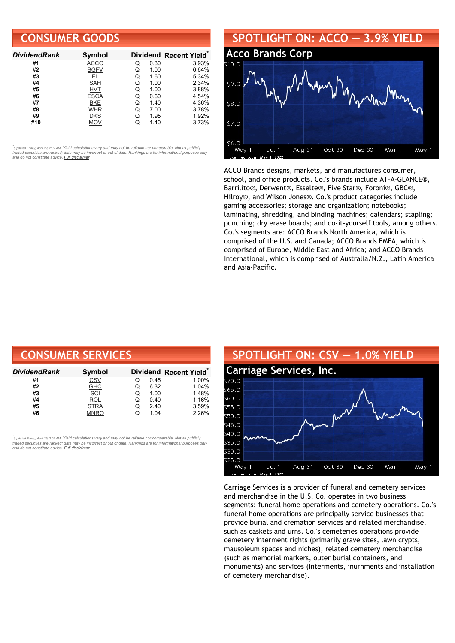### **CONSUMER GOODS**

| <b>DividendRank</b> | Symbol      |   |      | Dividend Recent Yield* |
|---------------------|-------------|---|------|------------------------|
| #1                  | <b>ACCO</b> | Q | 0.30 | 3.93%                  |
| #2                  | <b>BGFV</b> | Q | 1.00 | 6.64%                  |
| #3                  | FL          | Q | 1.60 | 5.34%                  |
| #4                  | <b>SAH</b>  | Q | 1.00 | 2.34%                  |
| #5                  | HVT         | O | 1.00 | 3.88%                  |
| #6                  | <b>ESCA</b> | Q | 0.60 | 4.54%                  |
| #7                  | <b>BKE</b>  | Q | 1.40 | 4.36%                  |
| #8                  | WHR         | Q | 7.00 | 3.78%                  |
| #9                  | <b>DKS</b>  | Q | 1.95 | 1.92%                  |
| #10                 | MOV         |   | 1.40 | 3.73%                  |

•<br>"<sub>(updated Friday, April 29, 2:02 AM) Yield calculations vary and may not be reliable nor comparable. Not all publicly<br>traded securities are ranked; data may be incorrect or out of date. Rankings are for informational p</sub> *and do not constitute advice. Full [disclaimer](https://www.dividendchannel.com/disclaimer/)*

## **SPOTLIGHT ON: ACCO — 3.9% YIELD Acco [Brands](http://www.dividendchannel.com/symbol/acco/) Corp**  $300$ \$9.0 58.0  $$7.0$

\$6.0

May 1

Jul 1

Aug 31

ACCO Brands designs, markets, and manufactures consumer, school, and office products. Co.'s brands include AT-A-GLANCE®, Barrilito®, Derwent®, Esselte®, Five Star®, Foroni®, GBC®, Hilroy®, and Wilson Jones®. Co.'s product categories include gaming accessories; storage and organization; notebooks; laminating, shredding, and binding machines; calendars; stapling; punching; dry erase boards; and do-it-yourself tools, among others. Co.'s segments are: ACCO Brands North America, which is comprised of the U.S. and Canada; ACCO Brands EMEA, which is comprised of Europe, Middle East and Africa; and ACCO Brands International, which is comprised of Australia/N.Z., Latin America and Asia-Pacific.

Oct 30

Dec 30

Mar 1

May 1

| <b>CONSUMER SERVICES</b> |             |   |      |                                    |  |  |
|--------------------------|-------------|---|------|------------------------------------|--|--|
| DividendRank             | Symbol      |   |      | Dividend Recent Yield <sup>®</sup> |  |  |
| #1                       | <b>CSV</b>  | O | 0.45 | 1.00%                              |  |  |
| #2                       | <b>GHC</b>  | Q | 6.32 | 1.04%                              |  |  |
| #3                       | SCI         | Q | 1.00 | 1.48%                              |  |  |
| #4                       | <b>ROL</b>  | Q | 0.40 | 1.16%                              |  |  |
| #5                       | <b>STRA</b> | Q | 2.40 | 3.59%                              |  |  |
| #6                       | MNRO        | Q | 1.04 | 2.26%                              |  |  |

•<br>"<sub>(updated Friday, April 29, 2:02 AM) Yield calculations vary and may not be reliable nor comparable. Not all publicly<br>traded securities are ranked; data may be incorrect or out of date. Rankings are for informational p</sub> *and do not constitute advice. Full [disclaimer](https://www.dividendchannel.com/disclaimer/)*



Carriage Services is a provider of funeral and cemetery services and merchandise in the U.S. Co. operates in two business segments: funeral home operations and cemetery operations. Co.'s funeral home operations are principally service businesses that provide burial and cremation services and related merchandise, such as caskets and urns. Co.'s cemeteries operations provide cemetery interment rights (primarily grave sites, lawn crypts, mausoleum spaces and niches), related cemetery merchandise (such as memorial markers, outer burial containers, and monuments) and services (interments, inurnments and installation of cemetery merchandise).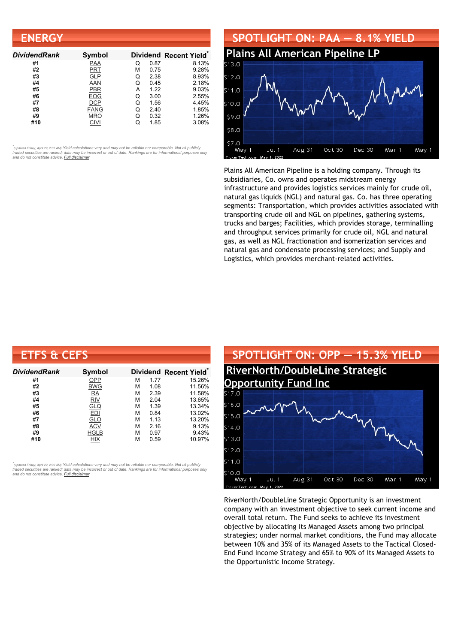| <b>ENERGY</b>       |               |   |      |                        |
|---------------------|---------------|---|------|------------------------|
| <b>DividendRank</b> | <b>Symbol</b> |   |      | Dividend Recent Yield* |
| #1                  | <b>PAA</b>    | Q | 0.87 | 8.13%                  |
| #2                  | PRT           | м | 0.75 | 9.28%                  |
| #3                  | <b>GLP</b>    | Q | 2.38 | 8.93%                  |
| #4                  | AAN           | Q | 0.45 | 2.18%                  |
| #5                  | <b>PBR</b>    | А | 1.22 | 9.03%                  |
| #6                  | <b>EOG</b>    | Q | 3.00 | 2.55%                  |
| #7                  | <b>DCP</b>    | Q | 1.56 | 4.45%                  |
| #8                  | <b>FANG</b>   | Q | 2.40 | 1.85%                  |
| #9                  | <b>MRO</b>    | Q | 0.32 | 1.26%                  |
| #10                 | <b>CIVI</b>   | Q | 1.85 | 3.08%                  |



Plains All American Pipeline is a holding company. Through its subsidiaries, Co. owns and operates midstream energy infrastructure and provides logistics services mainly for crude oil, natural gas liquids (NGL) and natural gas. Co. has three operating segments: Transportation, which provides activities associated with transporting crude oil and NGL on pipelines, gathering systems, trucks and barges; Facilities, which provides storage, terminalling and throughput services primarily for crude oil, NGL and natural gas, as well as NGL fractionation and isomerization services and natural gas and condensate processing services; and Supply and Logistics, which provides merchant-related activities.

| <b>ETFS &amp; CEFS</b> |             |   |      |                        |
|------------------------|-------------|---|------|------------------------|
| <b>DividendRank</b>    | Symbol      |   |      | Dividend Recent Yield* |
| #1                     | OPP         | м | 1.77 | 15.26%                 |
| #2                     | <b>BWG</b>  | м | 1.08 | 11.56%                 |
| #3                     | RA          | М | 2.39 | 11.58%                 |
| #4                     | <b>RIV</b>  | М | 2.04 | 13.65%                 |
| #5                     | <u>GLQ</u>  | М | 1.39 | 13.34%                 |
| #6                     | <b>EDI</b>  | М | 0.84 | 13.02%                 |
| #7                     | <b>GLO</b>  | М | 1.13 | 13.20%                 |
| #8                     | <b>ACV</b>  | м | 2.16 | 9.13%                  |
| #9                     | <b>HGLB</b> | М | 0.97 | 9.43%                  |
| #10                    | HIX         | м | 0.59 | 10.97%                 |

*\** ated Friday, April 29, 2:02 AM) Yield calculations vary and may not be reliable nor comparable. Not all publicly traded securities are ranked; data may be incorrect or out of date. Rankings are for informational purposes only *and do not constitute advice. Full [disclaimer](https://www.dividendchannel.com/disclaimer/)*



RiverNorth/DoubleLine Strategic Opportunity is an investment company with an investment objective to seek current income and overall total return. The Fund seeks to achieve its investment objective by allocating its Managed Assets among two principal strategies; under normal market conditions, the Fund may allocate between 10% and 35% of its Managed Assets to the Tactical Closed-End Fund Income Strategy and 65% to 90% of its Managed Assets to the Opportunistic Income Strategy.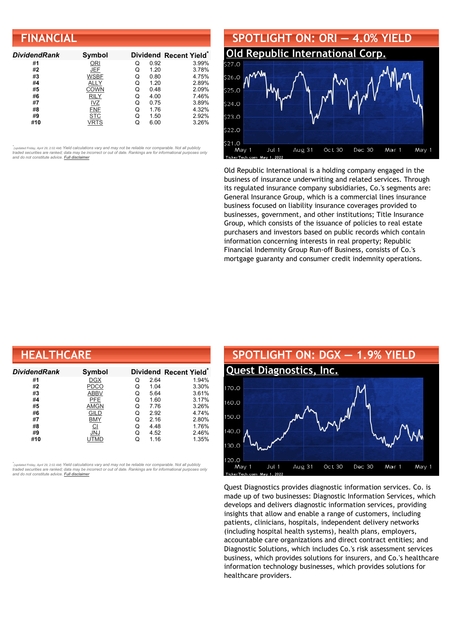| <b>FINANCIAL</b>    |             |   |      |                        |
|---------------------|-------------|---|------|------------------------|
| <b>DividendRank</b> | Symbol      |   |      | Dividend Recent Yield* |
| #1                  | ORI         | Q | 0.92 | 3.99%                  |
| #2                  | <b>JEF</b>  | Q | 1.20 | 3.78%                  |
| #3                  | <b>WSBF</b> | Q | 0.80 | 4.75%                  |
| #4                  | ALLY        | Q | 1.20 | 2.89%                  |
| #5                  | COWN        | Q | 0.48 | 2.09%                  |
| #6                  | <b>RILY</b> | Q | 4.00 | 7.46%                  |
| #7                  | $IVZ$       | Q | 0.75 | 3.89%                  |
| #8                  | <b>FNF</b>  | Q | 1.76 | 4.32%                  |
| #9                  | <b>STC</b>  | Q | 1.50 | 2.92%                  |
| #10                 | VRTS        | Q | 6.00 | 3.26%                  |



Old Republic International is a holding company engaged in the business of insurance underwriting and related services. Through its regulated insurance company subsidiaries, Co.'s segments are: General Insurance Group, which is a commercial lines insurance business focused on liability insurance coverages provided to businesses, government, and other institutions; Title Insurance Group, which consists of the issuance of policies to real estate purchasers and investors based on public records which contain information concerning interests in real property; Republic Financial Indemnity Group Run-off Business, consists of Co.'s mortgage guaranty and consumer credit indemnity operations.

| <b>HEALTHCARE</b> |                |   |      |                        |  |  |
|-------------------|----------------|---|------|------------------------|--|--|
| Dividend Rank     | Symbol         |   |      | Dividend Recent Yield* |  |  |
| #1                | <b>DGX</b>     | Q | 2.64 | 1.94%                  |  |  |
| #2                | <b>PDCO</b>    | Q | 1.04 | 3.30%                  |  |  |
| #3                | <b>ABBV</b>    | Q | 5.64 | 3.61%                  |  |  |
| #4                | PFE            | Q | 1.60 | 3.17%                  |  |  |
| #5                | <b>AMGN</b>    | Q | 7.76 | 3.26%                  |  |  |
| #6                | GILD           | Q | 2.92 | 4.74%                  |  |  |
| #7                | <b>BMY</b>     | Q | 2.16 | 2.80%                  |  |  |
| #8                | $\overline{C}$ | Q | 4.48 | 1.76%                  |  |  |
| #9                | <b>JNJ</b>     | Q | 4.52 | 2.46%                  |  |  |
| #10               | UTMD           | Q | 1.16 | 1.35%                  |  |  |

•<br>"<sub>(updated Friday, April 29, 2:02 AM) Yield calculations vary and may not be reliable nor comparable. Not all publicly<br>traded securities are ranked; data may be incorrect or out of date. Rankings are for informational p</sub> *and do not constitute advice. Full [disclaimer](https://www.dividendchannel.com/disclaimer/)*



Quest Diagnostics provides diagnostic information services. Co. is made up of two businesses: Diagnostic Information Services, which develops and delivers diagnostic information services, providing insights that allow and enable a range of customers, including patients, clinicians, hospitals, independent delivery networks (including hospital health systems), health plans, employers, accountable care organizations and direct contract entities; and Diagnostic Solutions, which includes Co.'s risk assessment services business, which provides solutions for insurers, and Co.'s healthcare information technology businesses, which provides solutions for healthcare providers.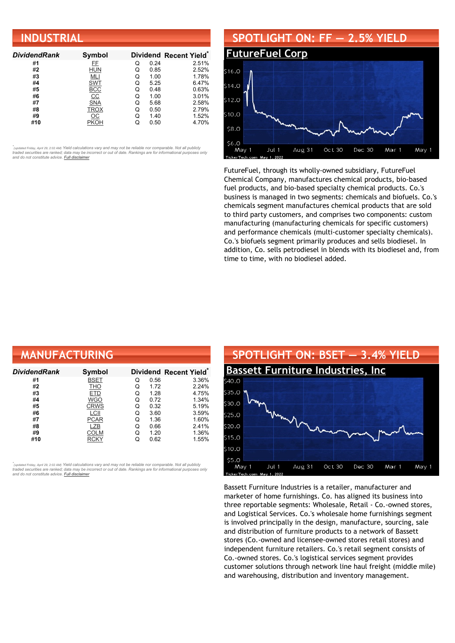| <b>INDUSTRIAL</b>   |                  |   |      |                                    |  |
|---------------------|------------------|---|------|------------------------------------|--|
| <b>DividendRank</b> | Symbol           |   |      | Dividend Recent Yield <sup>®</sup> |  |
| #1                  | FF.              | Q | 0.24 | 2.51%                              |  |
| #2                  | HUN              | Q | 0.85 | 2.52%                              |  |
| #3                  | MLI              | Q | 1.00 | 1.78%                              |  |
| #4                  | <b>SWT</b>       | Q | 5.25 | 6.47%                              |  |
| #5                  | <b>BCC</b>       | Q | 0.48 | 0.63%                              |  |
| #6                  | $\underline{CC}$ | Q | 1.00 | 3.01%                              |  |
| #7                  | <b>SNA</b>       | Q | 5.68 | 2.58%                              |  |
| #8                  | <b>TROX</b>      | Q | 0.50 | 2.79%                              |  |
| #9                  | ос               | Q | 1.40 | 1.52%                              |  |
| #10                 | PKOH             | Q | 0.50 | 4.70%                              |  |

#### **SPOTLIGHT ON: FF — 2.5% YIELD [FutureFuel](http://www.dividendchannel.com/symbol/ff/) Corp** \$16.0  $514.0$  $512c$ \$10.0 \$8.0 \$6.0 May 1 Jul 1 Aug 31 Oct 30 Dec 30 Mar 1 May 1

FutureFuel, through its wholly-owned subsidiary, FutureFuel Chemical Company, manufactures chemical products, bio-based fuel products, and bio-based specialty chemical products. Co.'s business is managed in two segments: chemicals and biofuels. Co.'s chemicals segment manufactures chemical products that are sold to third party customers, and comprises two components: custom manufacturing (manufacturing chemicals for specific customers) and performance chemicals (multi-customer specialty chemicals). Co.'s biofuels segment primarily produces and sells biodiesel. In addition, Co. sells petrodiesel in blends with its biodiesel and, from time to time, with no biodiesel added.

| <b>MANUFACTURING</b> |               |   |      |                                    |
|----------------------|---------------|---|------|------------------------------------|
| Dividend Rank        | <b>Symbol</b> |   |      | Dividend Recent Yield <sup>®</sup> |
| #1                   | <b>BSET</b>   | Q | 0.56 | 3.36%                              |
| #2                   | <b>THO</b>    | Q | 1.72 | 2.24%                              |
| #3                   | <b>ETD</b>    | Q | 1.28 | 4.75%                              |
| #4                   | <b>WGO</b>    | Q | 0.72 | 1.34%                              |
| #5                   | <b>CRWS</b>   | Q | 0.32 | 5.19%                              |
| #6                   | LCII          | Q | 3.60 | 3.59%                              |
| #7                   | <b>PCAR</b>   | Q | 1.36 | 1.60%                              |
| #8                   | LZB           | Q | 0.66 | 2.41%                              |
| #9                   | COLM          | Q | 1.20 | 1.36%                              |
| #10                  | RCKY          | Q | 0.62 | 1.55%                              |

*\** ated Friday, April 29, 2:02 AM) Yield calculations vary and may not be reliable nor comparable. Not all publicly traded securities are ranked; data may be incorrect or out of date. Rankings are for informational purposes only *and do not constitute advice. Full [disclaimer](https://www.dividendchannel.com/disclaimer/)*



Bassett Furniture Industries is a retailer, manufacturer and marketer of home furnishings. Co. has aligned its business into three reportable segments: Wholesale, Retail - Co.-owned stores, and Logistical Services. Co.'s wholesale home furnishings segment is involved principally in the design, manufacture, sourcing, sale and distribution of furniture products to a network of Bassett stores (Co.-owned and licensee-owned stores retail stores) and independent furniture retailers. Co.'s retail segment consists of Co.-owned stores. Co.'s logistical services segment provides customer solutions through network line haul freight (middle mile) and warehousing, distribution and inventory management.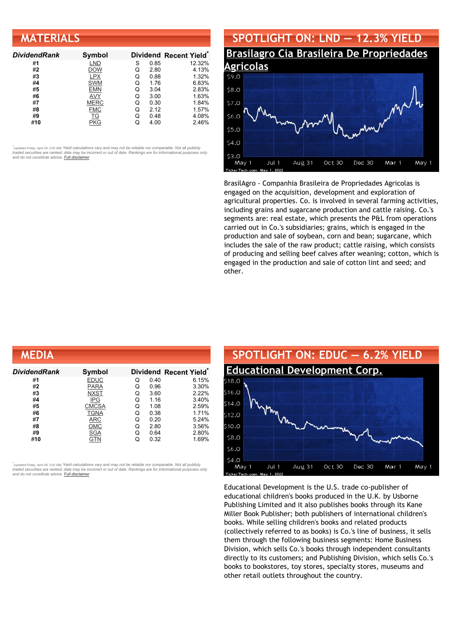| <b>MATERIALS</b>    |             |   |      |                        |
|---------------------|-------------|---|------|------------------------|
| <b>DividendRank</b> | Symbol      |   |      | Dividend Recent Yield* |
| #1                  | <b>LND</b>  | S | 0.85 | 12.32%                 |
| #2                  | <b>DOW</b>  | Q | 2.80 | 4.13%                  |
| #3                  | <b>LPX</b>  | Q | 0.88 | 1.32%                  |
| #4                  | <b>SWM</b>  | Q | 1.76 | 6.83%                  |
| #5                  | <b>EMN</b>  | Q | 3.04 | 2.83%                  |
| #6                  | AVY         | Q | 3.00 | 1.63%                  |
| #7                  | <b>MERC</b> | Q | 0.30 | 1.84%                  |
| #8                  | <b>FMC</b>  | Q | 2.12 | 1.57%                  |
| #9                  | <b>TG</b>   | Q | 0.48 | 4.08%                  |
| #10                 | <b>PKG</b>  | Q | 4.00 | 2.46%                  |

#### **SPOTLIGHT ON: LND — 12.3% YIELD Brasilagro Cia Brasileira De [Propriedades](http://www.dividendchannel.com/symbol/lnd/) Agricolas** \$9.0 58.0 \$7.0 56.0 \$5.0  $54.0$ \$3.0 May 1 Jul 1 Aug 31 Oct 30 Dec 30 Mar 1 May 1

BrasilAgro - Companhia Brasileira de Propriedades Agricolas is engaged on the acquisition, development and exploration of agricultural properties. Co. is involved in several farming activities, including grains and sugarcane production and cattle raising. Co.'s segments are: real estate, which presents the P&L from operations carried out in Co.'s subsidiaries; grains, which is engaged in the production and sale of soybean, corn and bean; sugarcane, which includes the sale of the raw product; cattle raising, which consists of producing and selling beef calves after weaning; cotton, which is engaged in the production and sale of cotton lint and seed; and other.

.<br>FickerTec

| MEDIA               |              |   |      |                                    |
|---------------------|--------------|---|------|------------------------------------|
| <b>DividendRank</b> | Symbol       |   |      | Dividend Recent Yield <sup>®</sup> |
| #1                  | <b>EDUC</b>  | Q | 0.40 | 6.15%                              |
| #2                  | <b>PARA</b>  | Q | 0.96 | 3.30%                              |
| #3                  | <b>NXST</b>  | Q | 3.60 | 2.22%                              |
| #4                  | <b>IPG</b>   | Q | 1.16 | 3.40%                              |
| #5                  | <b>CMCSA</b> | Q | 1.08 | 2.59%                              |
| #6                  | <b>TGNA</b>  | Q | 0.38 | 1.71%                              |
| #7                  | ARC          | Q | 0.20 | 5.24%                              |
| #8                  | OMC          | Q | 2.80 | 3.56%                              |
| #9                  | SGA          | Q | 0.64 | 2.80%                              |
| #10                 | GTN          | Q | 0.32 | 1.69%                              |

*\** ated Friday, April 29, 2:02 AM) Yield calculations vary and may not be reliable nor comparable. Not all publicly traded securities are ranked; data may be incorrect or out of date. Rankings are for informational purposes only *and do not constitute advice. Full [disclaimer](https://www.dividendchannel.com/disclaimer/)*



Educational Development is the U.S. trade co-publisher of educational children's books produced in the U.K. by Usborne Publishing Limited and it also publishes books through its Kane Miller Book Publisher; both publishers of international children's books. While selling children's books and related products (collectively referred to as books) is Co.'s line of business, it sells them through the following business segments: Home Business Division, which sells Co.'s books through independent consultants directly to its customers; and Publishing Division, which sells Co.'s books to bookstores, toy stores, specialty stores, museums and other retail outlets throughout the country.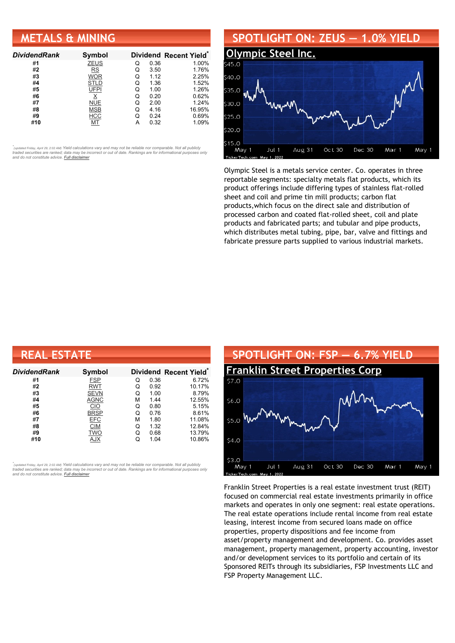### **METALS & MINING**

| <b>DividendRank</b> | Symbol      |   |      | Dividend Recent Yield* |
|---------------------|-------------|---|------|------------------------|
| #1                  | <b>ZEUS</b> | Q | 0.36 | 1.00%                  |
| #2                  | <b>RS</b>   | Q | 3.50 | 1.76%                  |
| #3                  | <b>WOR</b>  | Q | 1.12 | 2.25%                  |
| #4                  | STLD        | Q | 1.36 | 1.52%                  |
| #5                  | UFPI        | Q | 1.00 | 1.26%                  |
| #6                  |             | Q | 0.20 | 0.62%                  |
| #7                  | <b>NUE</b>  | O | 2.00 | 1.24%                  |
| #8                  | <b>MSB</b>  | Q | 4.16 | 16.95%                 |
| #9                  | <b>HCC</b>  | Q | 0.24 | 0.69%                  |
| #10                 |             |   | 0.32 | 1.09%                  |

•<br>"<sub>(updated Friday, April 29, 2:02 AM) Yield calculations vary and may not be reliable nor comparable. Not all publicly<br>traded securities are ranked; data may be incorrect or out of date. Rankings are for informational p</sub> *and do not constitute advice. Full [disclaimer](https://www.dividendchannel.com/disclaimer/)*

#### **SPOTLIGHT ON: ZEUS — 1.0% YIELD [Olympic](http://www.dividendchannel.com/symbol/zeus/) Steel Inc.** :40 0  $35.0$  $30.0$ \$25.0 ະ 20 0 515.0 Mar 1 Jul 1 Aug 31 Oct 30 Dec 30 May 1 May 1

Olympic Steel is a metals service center. Co. operates in three reportable segments: specialty metals flat products, which its product offerings include differing types of stainless flat-rolled sheet and coil and prime tin mill products; carbon flat products,which focus on the direct sale and distribution of processed carbon and coated flat-rolled sheet, coil and plate products and fabricated parts; and tubular and pipe products, which distributes metal tubing, pipe, bar, valve and fittings and fabricate pressure parts supplied to various industrial markets.

| <b>REAL ESTATE</b> |             |   |      |                                    |  |  |
|--------------------|-------------|---|------|------------------------------------|--|--|
| DividendRank       | Symbol      |   |      | Dividend Recent Yield <sup>®</sup> |  |  |
| #1                 | <b>FSP</b>  | Q | 0.36 | 6.72%                              |  |  |
| #2                 | <b>RWT</b>  | Q | 0.92 | 10.17%                             |  |  |
| #3                 | <b>SEVN</b> | Q | 1.00 | 8.79%                              |  |  |
| #4                 | <b>AGNC</b> | М | 1.44 | 12.55%                             |  |  |
| #5                 | <b>CIO</b>  | Q | 0.80 | 5.15%                              |  |  |
| #6                 | <b>BRSP</b> | Q | 0.76 | 8.61%                              |  |  |
| #7                 | <b>EFC</b>  | М | 1.80 | 11.08%                             |  |  |
| #8                 | <b>CIM</b>  | Q | 1.32 | 12.84%                             |  |  |
| #9                 | <b>TWO</b>  | Q | 0.68 | 13.79%                             |  |  |
| #10                | AJX         | Q | 1.04 | 10.86%                             |  |  |

*\** ated Friday, April 29, 2:02 AM) Yield calculations vary and may not be reliable nor comparable. Not all publicly traded securities are ranked; data may be incorrect or out of date. Rankings are for informational purposes only *and do not constitute advice. Full [disclaimer](https://www.dividendchannel.com/disclaimer/)*



Franklin Street Properties is a real estate investment trust (REIT) focused on commercial real estate investments primarily in office markets and operates in only one segment: real estate operations. The real estate operations include rental income from real estate leasing, interest income from secured loans made on office properties, property dispositions and fee income from asset/property management and development. Co. provides asset management, property management, property accounting, investor and/or development services to its portfolio and certain of its Sponsored REITs through its subsidiaries, FSP Investments LLC and FSP Property Management LLC.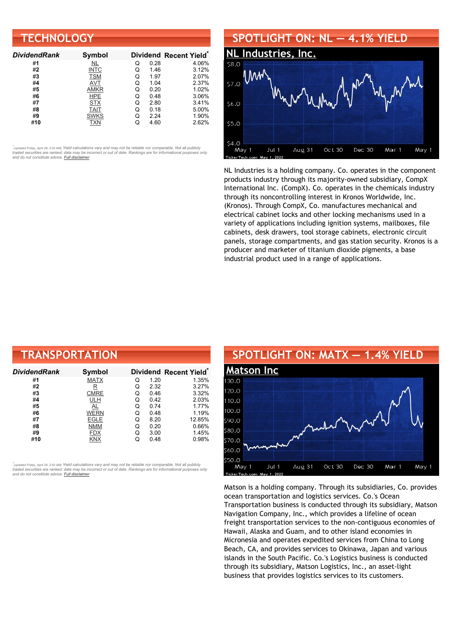| <b>TECHNOLOGY</b>   |             |   |      |                        |  |
|---------------------|-------------|---|------|------------------------|--|
| <b>DividendRank</b> | Symbol      |   |      | Dividend Recent Yield* |  |
| #1                  | <u>NL</u>   | Q | 0.28 | 4.06%                  |  |
| #2                  | <b>INTC</b> | Q | 1.46 | 3.12%                  |  |
| #3                  | <b>TSM</b>  | Q | 1.97 | 2.07%                  |  |
| #4                  | AVT         | Q | 1.04 | 2.37%                  |  |
| #5                  | AMKR        | Q | 0.20 | 1.02%                  |  |
| #6                  | <b>HPE</b>  | Q | 0.48 | 3.06%                  |  |
| #7                  | <b>STX</b>  | Q | 2.80 | 3.41%                  |  |
| #8                  | <b>TAIT</b> | Q | 0.18 | 5.00%                  |  |
| #9                  | <b>SWKS</b> | Q | 2.24 | 1.90%                  |  |
| #10                 | TXN         | Q | 4.60 | 2.62%                  |  |

#### **SPOTLIGHT ON: NL — 4.1% YIELD**



NL Industries is a holding company. Co. operates in the component products industry through its majority-owned subsidiary, CompX International Inc. (CompX). Co. operates in the chemicals industry through its noncontrolling interest in Kronos Worldwide, Inc. (Kronos). Through CompX, Co. manufactures mechanical and electrical cabinet locks and other locking mechanisms used in a variety of applications including ignition systems, mailboxes, file cabinets, desk drawers, tool storage cabinets, electronic circuit panels, storage compartments, and gas station security. Kronos is a producer and marketer of titanium dioxide pigments, a base industrial product used in a range of applications.

| <b>TRANSPORTATION</b> |             |   |      |                                    |  |  |
|-----------------------|-------------|---|------|------------------------------------|--|--|
| DividendRank          | Symbol      |   |      | Dividend Recent Yield <sup>®</sup> |  |  |
| #1                    | <b>MATX</b> | Q | 1.20 | 1.35%                              |  |  |
| #2                    | $_{\rm R}$  | Q | 2.32 | 3.27%                              |  |  |
| #3                    | <b>CMRE</b> | Q | 0.46 | 3.32%                              |  |  |
| #4                    | <b>ULH</b>  | Q | 0.42 | 2.03%                              |  |  |
| #5                    | AL          | Q | 0.74 | 1.77%                              |  |  |
| #6                    | <b>WERN</b> | Q | 0.48 | 1.19%                              |  |  |
| #7                    | <b>EGLE</b> | Q | 8.20 | 12.85%                             |  |  |
| #8                    | <b>NMM</b>  | Q | 0.20 | 0.66%                              |  |  |
| #9                    | <b>FDX</b>  | Q | 3.00 | 1.45%                              |  |  |
| #10                   | <b>KNX</b>  | Q | 0.48 | 0.98%                              |  |  |

*\** ated Friday, April 29, 2:02 AM) Yield calculations vary and may not be reliable nor comparable. Not all publicly traded securities are ranked; data may be incorrect or out of date. Rankings are for informational purposes only *and do not constitute advice. Full [disclaimer](https://www.dividendchannel.com/disclaimer/)*



Matson is a holding company. Through its subsidiaries, Co. provides ocean transportation and logistics services. Co.'s Ocean Transportation business is conducted through its subsidiary, Matson Navigation Company, Inc., which provides a lifeline of ocean freight transportation services to the non-contiguous economies of Hawaii, Alaska and Guam, and to other island economies in Micronesia and operates expedited services from China to Long Beach, CA, and provides services to Okinawa, Japan and various islands in the South Pacific. Co.'s Logistics business is conducted through its subsidiary, Matson Logistics, Inc., an asset-light business that provides logistics services to its customers.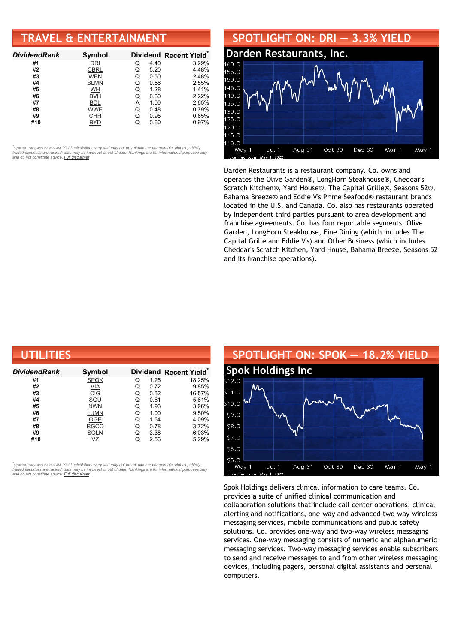### **TRAVEL & ENTERTAINMENT**

| <b>DividendRank</b> | Symbol      |   |      | Dividend Recent Yield* |
|---------------------|-------------|---|------|------------------------|
| #1                  | DRI         | Q | 4.40 | 3.29%                  |
| #2                  | <b>CBRL</b> | Q | 5.20 | 4.48%                  |
| #3                  | <b>WEN</b>  | Q | 0.50 | 2.48%                  |
| #4                  | <b>BLMN</b> | Q | 0.56 | 2.55%                  |
| #5                  | WH          | Q | 1.28 | 1.41%                  |
| #6                  | <b>BVH</b>  | Q | 0.60 | 2.22%                  |
| #7                  | <b>BDL</b>  | А | 1.00 | 2.65%                  |
| #8                  | WWE         | Q | 0.48 | 0.79%                  |
| #9                  | CHH         | Q | 0.95 | 0.65%                  |
| #10                 | BYD         |   | 0.60 | 0.97%                  |

•<br>"<sub>(updated Friday, April 29, 2:02 AM) Yield calculations vary and may not be reliable nor comparable. Not all publicly<br>traded securities are ranked; data may be incorrect or out of date. Rankings are for informational p</sub> *and do not constitute advice. Full [disclaimer](https://www.dividendchannel.com/disclaimer/)*

#### **SPOTLIGHT ON: DRI — 3.3% YIELD Darden [Restaurants,](http://www.dividendchannel.com/symbol/dri/) Inc.** 155.0 150.0 145.0  $140.0$ 135.0 130.0 125.0 120.0 115.0 110.0 Jul 1 Aug 31 Oct 30 Dec 30 Mar 1 May 1 May 1

Darden Restaurants is a restaurant company. Co. owns and operates the Olive Garden®, LongHorn Steakhouse®, Cheddar's Scratch Kitchen®, Yard House®, The Capital Grille®, Seasons 52®, Bahama Breeze® and Eddie V's Prime Seafood® restaurant brands located in the U.S. and Canada. Co. also has restaurants operated by independent third parties pursuant to area development and franchise agreements. Co. has four reportable segments: Olive Garden, LongHorn Steakhouse, Fine Dining (which includes The Capital Grille and Eddie V's) and Other Business (which includes Cheddar's Scratch Kitchen, Yard House, Bahama Breeze, Seasons 52 and its franchise operations).

| UTILITIES    |                   |   |      |                                    |  |  |
|--------------|-------------------|---|------|------------------------------------|--|--|
| DividendRank | Symbol            |   |      | Dividend Recent Yield <sup>®</sup> |  |  |
| #1           | <b>SPOK</b>       | Q | 1.25 | 18.25%                             |  |  |
| #2           | $\underline{VIA}$ | Q | 0.72 | 9.85%                              |  |  |
| #3           | CIG               | Q | 0.52 | 16.57%                             |  |  |
| #4           | SGU               | Q | 0.61 | 5.61%                              |  |  |
| #5           | <b>NWN</b>        | Q | 1.93 | 3.96%                              |  |  |
| #6           | LUMN              | Q | 1.00 | 9.50%                              |  |  |
| #7           | OGE               | Q | 1.64 | 4.09%                              |  |  |
| #8           | <b>RGCO</b>       | Q | 0.78 | 3.72%                              |  |  |
| #9           | <b>SOLN</b>       | Q | 3.38 | 6.03%                              |  |  |
| #10          | VZ                | Q | 2.56 | 5.29%                              |  |  |

*\** ated Friday, April 29, 2:02 AM) Yield calculations vary and may not be reliable nor comparable. Not all publicly traded securities are ranked; data may be incorrect or out of date. Rankings are for informational purposes only *and do not constitute advice. Full [disclaimer](https://www.dividendchannel.com/disclaimer/)*

#### **SPOTLIGHT ON: SPOK — 18.2% YIELD Spok [Holdings](http://www.dividendchannel.com/symbol/spok/) Inc**  $512.0$  $511.0$  $510.0$  $590$ \$8.0 \$7.0 \$6.0  $550$ Oct 30 May 1 Jul 1 Aug 31 Dec 30 Mar 1 May 1 erTe

Spok Holdings delivers clinical information to care teams. Co. provides a suite of unified clinical communication and collaboration solutions that include call center operations, clinical alerting and notifications, one-way and advanced two-way wireless messaging services, mobile communications and public safety solutions. Co. provides one-way and two-way wireless messaging services. One-way messaging consists of numeric and alphanumeric messaging services. Two-way messaging services enable subscribers to send and receive messages to and from other wireless messaging devices, including pagers, personal digital assistants and personal computers.